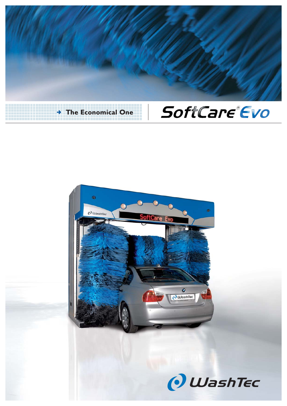



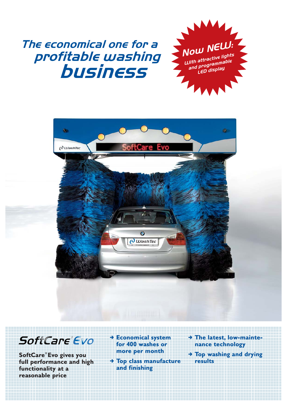## The economical one for a profitable washing business





## SoftCare®Evo

**SoftCare® Evo gives you full performance and high functionality at a reasonable price**

, **Economical system for 400 washes or more per month**

, **Top class manufacture and finishing**

- , **The latest, low-maintenance technology**
- , **Top washing and drying results**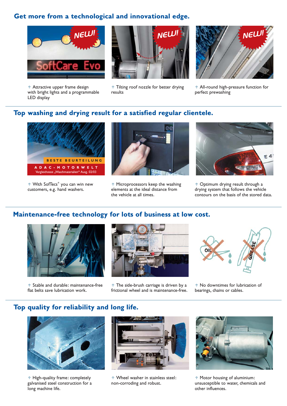### **Get more from a technological and innovational edge.**



n Attractive upper frame design with bright lights and a programmable LED display



**1** Tilting roof nozzle for better drying results



n All-round high-pressure function for perfect prewashing

#### **Top washing and drying result for a satisfied regular clientele.**



↑ With SofTecs<sup>®</sup> you can win new customers, e.g. hand washers.



**1** Microprocessors keep the washing elements at the ideal distance from the vehicle at all times.



n Optimum drying result through a drying system that follows the vehicle contours on the basis of the stored data.

### **Maintenance-free technology for lots of business at low cost.**



↑ Stable and durable: maintenance-free flat belts save lubrication work.



 $\uparrow$  The side-brush carriage is driven by a frictional wheel and is maintenance-free.



<sup>1</sup> No downtimes for lubrication of bearings, chains or cables.

### **Top quality for reliability and long life.**



n High-quality frame: completely galvanised steel construction for a long machine life.



↑ Wheel washer in stainless steel: non-corroding and robust.



n Motor housing of aluminium: unsusceptible to water, chemicals and other influences.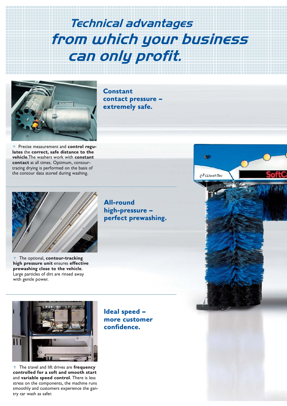Technical advantages from which your business can only profit.

**Constant** 

**contact pressure – extremely safe.**



**1** Precise measurement and **control regulates** the **correct, safe distance to the vehicle**.The washers work with **constant contact** at all times. Optimum, contourtracing drying is performed on the basis of the contour data stored during washing.

The optional, **contour-tracking high pressure unit** ensures **effective prewashing close to the vehicle**. Large particles of dirt are rinsed away with gentle power.

**All-round high-pressure – perfect prewashing.**



n The travel and lift drives are **frequency controlled for a soft and smooth start** and **variable speed control**. There is less stress on the components, the machine runs smoothly and customers experience the gantry car wash as safer.

**Ideal speed – more customer confidence.**

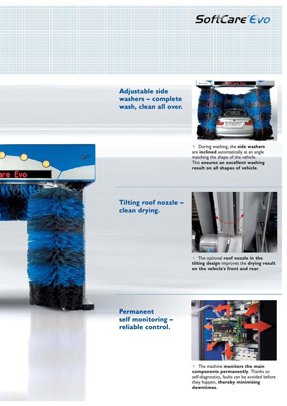### SoftCare Evo

**Adjustable side washers – complete wash, clean all over.**



n During washing, the **side washers** are **inclined** automatically at an angle matching the shape of the vehicle. This **ensures an excellent washing result on all shapes of vehicle**.

### **Tilting roof nozzle – clean drying.**



n The optional **roof nozzle in the tilting design** improves the **drying result on the vehicle's front and rear**.

**Permanent self monitoring – reliable control.**



**1** The machine **monitors the main components permanently**. Thanks to self-diagnostics, faults can be avoided before they happen, **thereby minimising downtimes**.

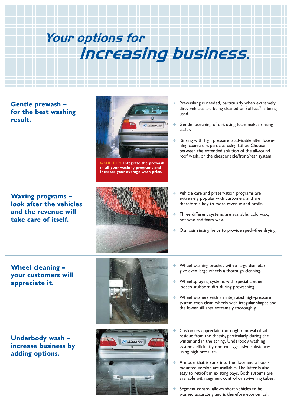# Your options for increasing business.

**Gentle prewash – for the best washing result.**



**OUR TIP: Integrate the prewash in all your washing programs and increase your average wash price.**

- Prewashing is needed, particularly when extremely dirty vehicles are being cleaned or SofTecs<sup>®</sup> is being used.
- $\rightarrow$  Gentle loosening of dirt using foam makes rinsing easier.
- $\rightarrow$  Rinsing with high pressure is advisable after loosening coarse dirt particles using lather. Choose between the extended solution of the all-round roof wash, or the cheaper side/front/rear system.

**Waxing programs – look after the vehicles and the revenue will take care of itself.**



- , Vehicle care and preservation programs are extremely popular with customers and are therefore a key to more revenue and profit.
- , Three different systems are available: cold wax, hot wax and foam wax.
- , Osmosis rinsing helps to provide speck-free drying.

**Wheel cleaning – your customers will appreciate it.**

**Underbody wash – increase business by adding options.**





- $\rightarrow$  Wheel washing brushes with a large diameter give even large wheels a thorough cleaning.
- , Wheel spraying systems with special cleaner loosen stubborn dirt during prewashing.
- , Wheel washers with an integrated high-pressure system even clean wheels with irregular shapes and the lower sill area extremely thoroughly.
- , Customers appreciate thorough removal of salt residue from the chassis, particularly during the winter and in the spring. Underbody washing systems efficiently remove aggressive substances using high pressure.
- , A model that is sunk into the floor and a floormounted version are available. The latter is also easy to retrofit in existing bays. Both systems are available with segment control or swivelling tubes.
- Segment control allows short vehicles to be washed accurately and is therefore economical.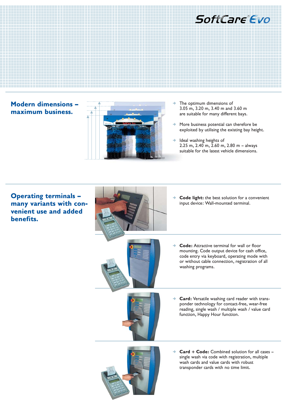

### **Modern dimensions – maximum business.**



- $\rightarrow$  The optimum dimensions of 3.05 m, 3.20 m, 3.40 m and 3.60 m are suitable for many different bays.
- $\rightarrow$  More business potential can therefore be exploited by utilising the existing bay height.
- $\rightarrow$  Ideal washing heights of 2.25 m, 2.40 m, 2.60 m, 2.80 m – always suitable for the latest vehicle dimensions.